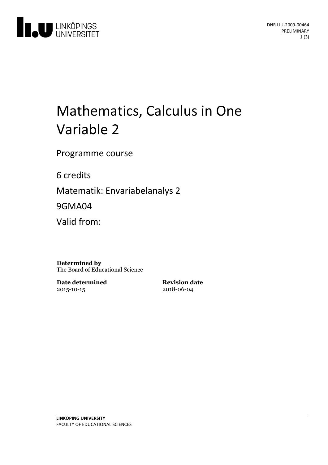

# Mathematics, Calculus in One Variable 2

Programme course

6 credits

Matematik: Envariabelanalys 2

9GMA04

Valid from:

**Determined by** The Board of Educational Science

**Date determined** 2015-10-15

**Revision date** 2018-06-04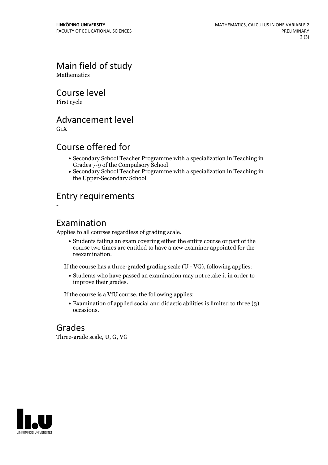Main field of study

**Mathematics** 

Course level

First cycle

Advancement level

 $G_1X$ 

-

# Course offered for

- Secondary School Teacher Programme with a specialization in Teaching in Grades 7-9 of the Compulsory School
- Secondary School Teacher Programme with a specialization in Teaching in the Upper-Secondary School

# Entry requirements

#### Examination

Applies to all courses regardless of grading scale.

Students failing an exam covering either the entire course or part of the course two times are entitled to have a new examiner appointed for the reexamination.

If the course has a three-graded grading scale (U - VG), following applies:

Students who have passed an examination may not retake it in order to improve their grades.

If the course is a VfU course, the following applies:

Examination of applied social and didactic abilities is limited to three (3) occasions.

### Grades

Three-grade scale, U, G, VG